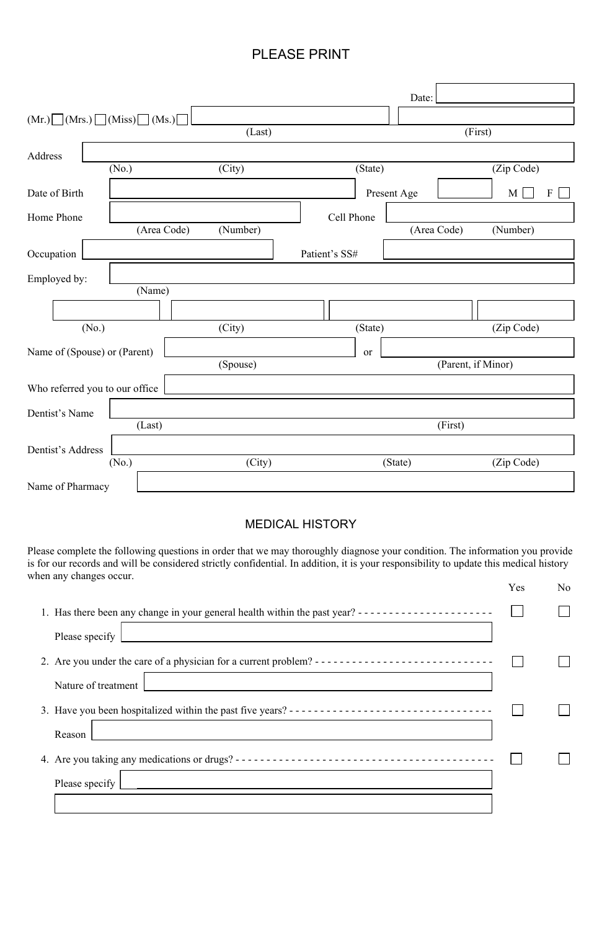## PLEASE PRINT

|                                   |          |               | Date:       |                    |  |
|-----------------------------------|----------|---------------|-------------|--------------------|--|
| $(Mr.)$ $(Mrs.)$ $(Miss)$ $(Ms.)$ |          |               |             |                    |  |
|                                   | (Last)   |               | (First)     |                    |  |
| Address                           |          |               |             |                    |  |
| (No.)                             | (City)   | (State)       |             | (Zip Code)         |  |
| Date of Birth                     |          | Present Age   |             | $F \Box$<br>M      |  |
| Home Phone                        |          | Cell Phone    |             |                    |  |
| (Area Code)                       | (Number) |               | (Area Code) | (Number)           |  |
| Occupation                        |          | Patient's SS# |             |                    |  |
| Employed by:                      |          |               |             |                    |  |
| (Name)                            |          |               |             |                    |  |
|                                   |          |               |             |                    |  |
| (No.)                             | (City)   | (State)       |             | (Zip Code)         |  |
| Name of (Spouse) or (Parent)      |          | or            |             |                    |  |
|                                   | (Spouse) |               |             | (Parent, if Minor) |  |
| Who referred you to our office    |          |               |             |                    |  |
| Dentist's Name                    |          |               |             |                    |  |
| (Last)                            |          |               | (First)     |                    |  |
| Dentist's Address                 |          |               |             |                    |  |
| (No.)                             | (City)   | (State)       |             | (Zip Code)         |  |
| Name of Pharmacy                  |          |               |             |                    |  |

Please complete the following questions in order that we may thoroughly diagnose your condition. The information you provide is for our records and will be considered strictly confidential. In addition, it is your responsibility to update this medical history when any changes occur.

## MEDICAL HISTORY

|                                                                                                   | Yes | No |
|---------------------------------------------------------------------------------------------------|-----|----|
| 1. Has there been any change in your general health within the past year? ----------------------- |     |    |
| Please specify $\lfloor$                                                                          |     |    |
|                                                                                                   |     |    |
| Nature of treatment                                                                               |     |    |

3. Have you been hospitalized within the past five years? - - - - - - - - - - - - - - - - - - - - - - - - - - - - - - - - - Reason 4. Are you taking any medications or drugs? - - - - - - - - - - - - - - - - - - - - - - - - - - - - - - - - - - - - - - - - - -  $\Box$  Please specify